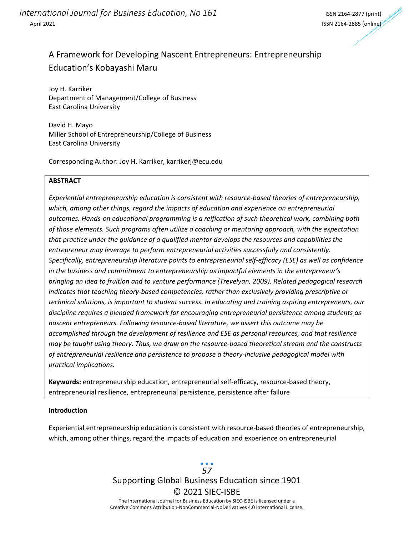#### A Framework for Developing Nascent Entrepreneurs: Entrepreneurship Education's Kobayashi Maru

Joy H. Karriker Department of Management/College of Business East Carolina University

David H. Mayo Miller School of Entrepreneurship/College of Business East Carolina University

Corresponding Author: Joy H. Karriker, karrikerj@ecu.edu

#### **ABSTRACT**

*Experiential entrepreneurship education is consistent with resource-based theories of entrepreneurship, which, among other things, regard the impacts of education and experience on entrepreneurial outcomes. Hands-on educational programming is a reification of such theoretical work, combining both of those elements. Such programs often utilize a coaching or mentoring approach, with the expectation that practice under the guidance of a qualified mentor develops the resources and capabilities the entrepreneur may leverage to perform entrepreneurial activities successfully and consistently. Specifically, entrepreneurship literature points to entrepreneurial self-efficacy (ESE) as well as confidence in the business and commitment to entrepreneurship as impactful elements in the entrepreneur's bringing an idea to fruition and to venture performance (Trevelyan, 2009). Related pedagogical research indicates that teaching theory-based competencies, rather than exclusively providing prescriptive or technical solutions, is important to student success. In educating and training aspiring entrepreneurs, our discipline requires a blended framework for encouraging entrepreneurial persistence among students as nascent entrepreneurs. Following resource-based literature, we assert this outcome may be accomplished through the development of resilience and ESE as personal resources, and that resilience may be taught using theory. Thus, we draw on the resource-based theoretical stream and the constructs of entrepreneurial resilience and persistence to propose a theory-inclusive pedagogical model with practical implications.*

**Keywords:** entrepreneurship education, entrepreneurial self-efficacy, resource-based theory, entrepreneurial resilience, entrepreneurial persistence, persistence after failure

#### **Introduction**

Experiential entrepreneurship education is consistent with resource-based theories of entrepreneurship, which, among other things, regard the impacts of education and experience on entrepreneurial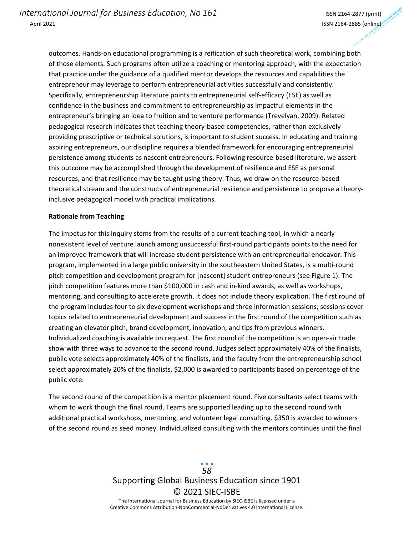outcomes. Hands-on educational programming is a reification of such theoretical work, combining both of those elements. Such programs often utilize a coaching or mentoring approach, with the expectation that practice under the guidance of a qualified mentor develops the resources and capabilities the entrepreneur may leverage to perform entrepreneurial activities successfully and consistently. Specifically, entrepreneurship literature points to entrepreneurial self-efficacy (ESE) as well as confidence in the business and commitment to entrepreneurship as impactful elements in the entrepreneur's bringing an idea to fruition and to venture performance (Trevelyan, 2009). Related pedagogical research indicates that teaching theory-based competencies, rather than exclusively providing prescriptive or technical solutions, is important to student success. In educating and training aspiring entrepreneurs, our discipline requires a blended framework for encouraging entrepreneurial persistence among students as nascent entrepreneurs. Following resource-based literature, we assert this outcome may be accomplished through the development of resilience and ESE as personal resources, and that resilience may be taught using theory. Thus, we draw on the resource-based theoretical stream and the constructs of entrepreneurial resilience and persistence to propose a theoryinclusive pedagogical model with practical implications.

#### **Rationale from Teaching**

The impetus for this inquiry stems from the results of a current teaching tool, in which a nearly nonexistent level of venture launch among unsuccessful first-round participants points to the need for an improved framework that will increase student persistence with an entrepreneurial endeavor. This program, implemented in a large public university in the southeastern United States, is a multi-round pitch competition and development program for [nascent] student entrepreneurs (see Figure 1). The pitch competition features more than \$100,000 in cash and in-kind awards, as well as workshops, mentoring, and consulting to accelerate growth. It does not include theory explication. The first round of the program includes four to six development workshops and three information sessions; sessions cover topics related to entrepreneurial development and success in the first round of the competition such as creating an elevator pitch, brand development, innovation, and tips from previous winners. Individualized coaching is available on request. The first round of the competition is an open-air trade show with three ways to advance to the second round. Judges select approximately 40% of the finalists, public vote selects approximately 40% of the finalists, and the faculty from the entrepreneurship school select approximately 20% of the finalists. \$2,000 is awarded to participants based on percentage of the public vote.

The second round of the competition is a mentor placement round. Five consultants select teams with whom to work though the final round. Teams are supported leading up to the second round with additional practical workshops, mentoring, and volunteer legal consulting. \$350 is awarded to winners of the second round as seed money. Individualized consulting with the mentors continues until the final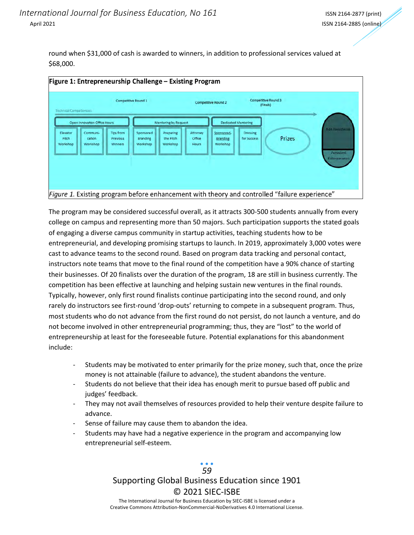round when \$31,000 of cash is awarded to winners, in addition to professional services valued at \$68,000.



The program may be considered successful overall, as it attracts 300-500 students annually from every college on campus and representing more than 50 majors. Such participation supports the stated goals of engaging a diverse campus community in startup activities, teaching students how to be entrepreneurial, and developing promising startups to launch. In 2019, approximately 3,000 votes were cast to advance teams to the second round. Based on program data tracking and personal contact, instructors note teams that move to the final round of the competition have a 90% chance of starting their businesses. Of 20 finalists over the duration of the program, 18 are still in business currently. The competition has been effective at launching and helping sustain new ventures in the final rounds. Typically, however, only first round finalists continue participating into the second round, and only rarely do instructors see first-round 'drop-outs' returning to compete in a subsequent program. Thus, most students who do not advance from the first round do not persist, do not launch a venture, and do not become involved in other entrepreneurial programming; thus, they are "lost" to the world of entrepreneurship at least for the foreseeable future. Potential explanations for this abandonment include:

- Students may be motivated to enter primarily for the prize money, such that, once the prize money is not attainable (failure to advance), the student abandons the venture.
- Students do not believe that their idea has enough merit to pursue based off public and judges' feedback.
- They may not avail themselves of resources provided to help their venture despite failure to advance.
- Sense of failure may cause them to abandon the idea.
- Students may have had a negative experience in the program and accompanying low entrepreneurial self-esteem.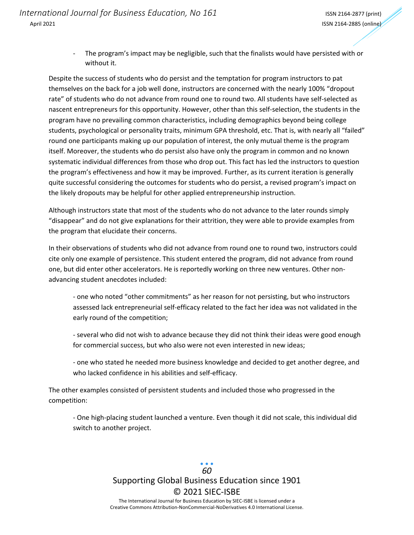- The program's impact may be negligible, such that the finalists would have persisted with or without it.

Despite the success of students who do persist and the temptation for program instructors to pat themselves on the back for a job well done, instructors are concerned with the nearly 100% "dropout rate" of students who do not advance from round one to round two. All students have self-selected as nascent entrepreneurs for this opportunity. However, other than this self-selection, the students in the program have no prevailing common characteristics, including demographics beyond being college students, psychological or personality traits, minimum GPA threshold, etc. That is, with nearly all "failed" round one participants making up our population of interest, the only mutual theme is the program itself. Moreover, the students who do persist also have only the program in common and no known systematic individual differences from those who drop out. This fact has led the instructors to question the program's effectiveness and how it may be improved. Further, as its current iteration is generally quite successful considering the outcomes for students who do persist, a revised program's impact on the likely dropouts may be helpful for other applied entrepreneurship instruction.

Although instructors state that most of the students who do not advance to the later rounds simply "disappear" and do not give explanations for their attrition, they were able to provide examples from the program that elucidate their concerns.

In their observations of students who did not advance from round one to round two, instructors could cite only one example of persistence. This student entered the program, did not advance from round one, but did enter other accelerators. He is reportedly working on three new ventures. Other nonadvancing student anecdotes included:

- one who noted "other commitments" as her reason for not persisting, but who instructors assessed lack entrepreneurial self-efficacy related to the fact her idea was not validated in the early round of the competition;

- several who did not wish to advance because they did not think their ideas were good enough for commercial success, but who also were not even interested in new ideas;

- one who stated he needed more business knowledge and decided to get another degree, and who lacked confidence in his abilities and self-efficacy.

The other examples consisted of persistent students and included those who progressed in the competition:

- One high-placing student launched a venture. Even though it did not scale, this individual did switch to another project.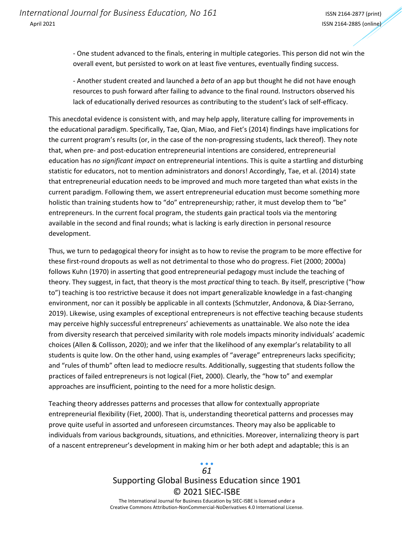- One student advanced to the finals, entering in multiple categories. This person did not win the overall event, but persisted to work on at least five ventures, eventually finding success.

- Another student created and launched a *beta* of an app but thought he did not have enough resources to push forward after failing to advance to the final round. Instructors observed his lack of educationally derived resources as contributing to the student's lack of self-efficacy.

This anecdotal evidence is consistent with, and may help apply, literature calling for improvements in the educational paradigm. Specifically, Tae, Qian, Miao, and Fiet's (2014) findings have implications for the current program's results (or, in the case of the non-progressing students, lack thereof). They note that, when pre- and post-education entrepreneurial intentions are considered, entrepreneurial education has *no significant impact* on entrepreneurial intentions. This is quite a startling and disturbing statistic for educators, not to mention administrators and donors! Accordingly, Tae, et al. (2014) state that entrepreneurial education needs to be improved and much more targeted than what exists in the current paradigm. Following them, we assert entrepreneurial education must become something more holistic than training students how to "do" entrepreneurship; rather, it must develop them to "be" entrepreneurs. In the current focal program, the students gain practical tools via the mentoring available in the second and final rounds; what is lacking is early direction in personal resource development.

Thus, we turn to pedagogical theory for insight as to how to revise the program to be more effective for these first-round dropouts as well as not detrimental to those who do progress. Fiet (2000; 2000a) follows Kuhn (1970) in asserting that good entrepreneurial pedagogy must include the teaching of theory. They suggest, in fact, that theory is the most *practical* thing to teach. By itself, prescriptive ("how to") teaching is too restrictive because it does not impart generalizable knowledge in a fast-changing environment, nor can it possibly be applicable in all contexts (Schmutzler, Andonova, & Diaz-Serrano, 2019). Likewise, using examples of exceptional entrepreneurs is not effective teaching because students may perceive highly successful entrepreneurs' achievements as unattainable. We also note the idea from diversity research that perceived similarity with role models impacts minority individuals' academic choices (Allen & Collisson, 2020); and we infer that the likelihood of any exemplar's relatability to all students is quite low. On the other hand, using examples of "average" entrepreneurs lacks specificity; and "rules of thumb" often lead to mediocre results. Additionally, suggesting that students follow the practices of failed entrepreneurs is not logical (Fiet, 2000). Clearly, the "how to" and exemplar approaches are insufficient, pointing to the need for a more holistic design.

Teaching theory addresses patterns and processes that allow for contextually appropriate entrepreneurial flexibility (Fiet, 2000). That is, understanding theoretical patterns and processes may prove quite useful in assorted and unforeseen circumstances. Theory may also be applicable to individuals from various backgrounds, situations, and ethnicities. Moreover, internalizing theory is part of a nascent entrepreneur's development in making him or her both adept and adaptable; this is an

### Supporting Global Business Education since 1901 © 2021 SIEC-ISBE *61*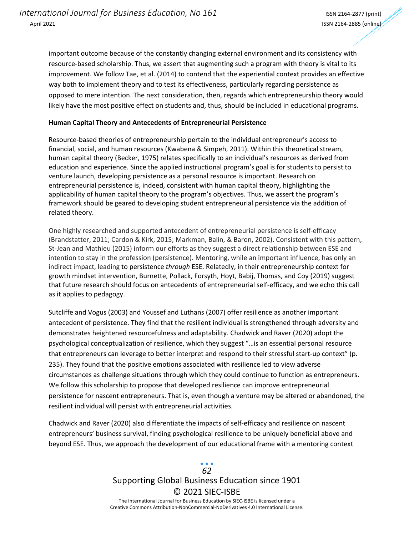important outcome because of the constantly changing external environment and its consistency with resource-based scholarship. Thus, we assert that augmenting such a program with theory is vital to its improvement. We follow Tae, et al. (2014) to contend that the experiential context provides an effective way both to implement theory and to test its effectiveness, particularly regarding persistence as opposed to mere intention. The next consideration, then, regards which entrepreneurship theory would likely have the most positive effect on students and, thus, should be included in educational programs.

#### **Human Capital Theory and Antecedents of Entrepreneurial Persistence**

Resource-based theories of entrepreneurship pertain to the individual entrepreneur's access to financial, social, and human resources (Kwabena & Simpeh, 2011). Within this theoretical stream, human capital theory (Becker, 1975) relates specifically to an individual's resources as derived from education and experience. Since the applied instructional program's goal is for students to persist to venture launch, developing persistence as a personal resource is important. Research on entrepreneurial persistence is, indeed, consistent with human capital theory, highlighting the applicability of human capital theory to the program's objectives. Thus, we assert the program's framework should be geared to developing student entrepreneurial persistence via the addition of related theory.

One highly researched and supported antecedent of entrepreneurial persistence is self-efficacy (Brandstatter, 2011; Cardon & Kirk, 2015; Markman, Balin, & Baron, 2002). Consistent with this pattern, St-Jean and Mathieu (2015) inform our efforts as they suggest a direct relationship between ESE and intention to stay in the profession (persistence). Mentoring, while an important influence, has only an indirect impact, leading to persistence *through* ESE. Relatedly, in their entrepreneurship context for growth mindset intervention, Burnette, Pollack, Forsyth, Hoyt, Babij, Thomas, and Coy (2019) suggest that future research should focus on antecedents of entrepreneurial self-efficacy, and we echo this call as it applies to pedagogy.

Sutcliffe and Vogus (2003) and Youssef and Luthans (2007) offer resilience as another important antecedent of persistence. They find that the resilient individual is strengthened through adversity and demonstrates heightened resourcefulness and adaptability. Chadwick and Raver (2020) adopt the psychological conceptualization of resilience, which they suggest "…is an essential personal resource that entrepreneurs can leverage to better interpret and respond to their stressful start-up context" (p. 235). They found that the positive emotions associated with resilience led to view adverse circumstances as challenge situations through which they could continue to function as entrepreneurs. We follow this scholarship to propose that developed resilience can improve entrepreneurial persistence for nascent entrepreneurs. That is, even though a venture may be altered or abandoned, the resilient individual will persist with entrepreneurial activities.

Chadwick and Raver (2020) also differentiate the impacts of self-efficacy and resilience on nascent entrepreneurs' business survival, finding psychological resilience to be uniquely beneficial above and beyond ESE. Thus, we approach the development of our educational frame with a mentoring context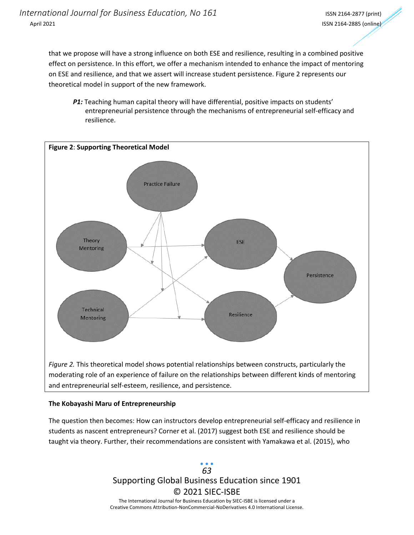that we propose will have a strong influence on both ESE and resilience, resulting in a combined positive effect on persistence. In this effort, we offer a mechanism intended to enhance the impact of mentoring on ESE and resilience, and that we assert will increase student persistence. Figure 2 represents our theoretical model in support of the new framework.

*P1:* Teaching human capital theory will have differential, positive impacts on students' entrepreneurial persistence through the mechanisms of entrepreneurial self-efficacy and resilience.



moderating role of an experience of failure on the relationships between different kinds of mentoring and entrepreneurial self-esteem, resilience, and persistence.

#### **The Kobayashi Maru of Entrepreneurship**

The question then becomes: How can instructors develop entrepreneurial self-efficacy and resilience in students as nascent entrepreneurs? Corner et al. (2017) suggest both ESE and resilience should be taught via theory. Further, their recommendations are consistent with Yamakawa et al. (2015), who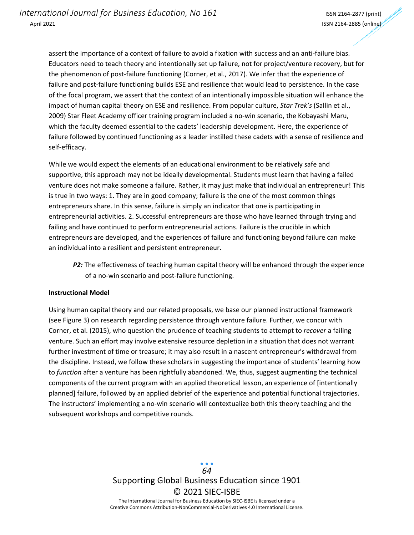assert the importance of a context of failure to avoid a fixation with success and an anti-failure bias. Educators need to teach theory and intentionally set up failure, not for project/venture recovery, but for the phenomenon of post-failure functioning (Corner, et al., 2017). We infer that the experience of failure and post-failure functioning builds ESE and resilience that would lead to persistence. In the case of the focal program, we assert that the context of an intentionally impossible situation will enhance the impact of human capital theory on ESE and resilience. From popular culture, *Star Trek's* (Sallin et al., 2009) Star Fleet Academy officer training program included a no-win scenario, the Kobayashi Maru, which the faculty deemed essential to the cadets' leadership development. Here, the experience of failure followed by continued functioning as a leader instilled these cadets with a sense of resilience and self-efficacy.

While we would expect the elements of an educational environment to be relatively safe and supportive, this approach may not be ideally developmental. Students must learn that having a failed venture does not make someone a failure. Rather, it may just make that individual an entrepreneur! This is true in two ways: 1. They are in good company; failure is the one of the most common things entrepreneurs share. In this sense, failure is simply an indicator that one is participating in entrepreneurial activities. 2. Successful entrepreneurs are those who have learned through trying and failing and have continued to perform entrepreneurial actions. Failure is the crucible in which entrepreneurs are developed, and the experiences of failure and functioning beyond failure can make an individual into a resilient and persistent entrepreneur.

*P2:* The effectiveness of teaching human capital theory will be enhanced through the experience of a no-win scenario and post-failure functioning.

#### **Instructional Model**

Using human capital theory and our related proposals, we base our planned instructional framework (see Figure 3) on research regarding persistence through venture failure. Further, we concur with Corner, et al. (2015), who question the prudence of teaching students to attempt to *recover* a failing venture. Such an effort may involve extensive resource depletion in a situation that does not warrant further investment of time or treasure; it may also result in a nascent entrepreneur's withdrawal from the discipline. Instead, we follow these scholars in suggesting the importance of students' learning how to *function* after a venture has been rightfully abandoned. We, thus, suggest augmenting the technical components of the current program with an applied theoretical lesson, an experience of [intentionally planned] failure, followed by an applied debrief of the experience and potential functional trajectories. The instructors' implementing a no-win scenario will contextualize both this theory teaching and the subsequent workshops and competitive rounds.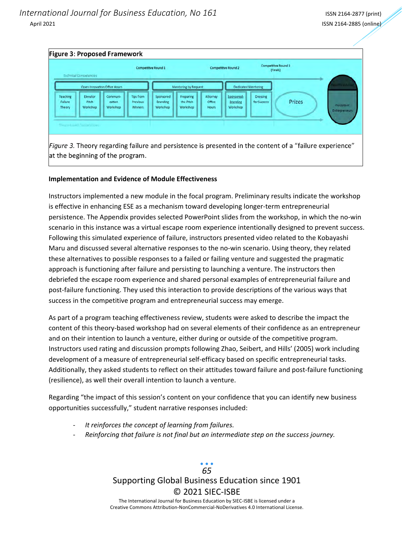#### **Figure 3: Proposed Framework** Competitive Round 3 Competitive Round 1 Competitive Round 2 (Finals) Onen Innova on Office Hour **Mentoring by Request Dedicated Ment Attorney** Teaching Elevato Com **Tips from** Preparing iponsored Dressing the Pitch Prizes Failure Pitch Previous Branding Office Branding for Success **Winners** Theory Worksho Workshop Workshop Workshor Workshop Figure 3. Theory regarding failure and persistence is presented in the content of a "failure experience" at the beginning of the program.

#### **Implementation and Evidence of Module Effectiveness**

Instructors implemented a new module in the focal program. Preliminary results indicate the workshop is effective in enhancing ESE as a mechanism toward developing longer-term entrepreneurial persistence. The Appendix provides selected PowerPoint slides from the workshop, in which the no-win scenario in this instance was a virtual escape room experience intentionally designed to prevent success. Following this simulated experience of failure, instructors presented video related to the Kobayashi Maru and discussed several alternative responses to the no-win scenario. Using theory, they related these alternatives to possible responses to a failed or failing venture and suggested the pragmatic approach is functioning after failure and persisting to launching a venture. The instructors then debriefed the escape room experience and shared personal examples of entrepreneurial failure and post-failure functioning. They used this interaction to provide descriptions of the various ways that success in the competitive program and entrepreneurial success may emerge.

As part of a program teaching effectiveness review, students were asked to describe the impact the content of this theory-based workshop had on several elements of their confidence as an entrepreneur and on their intention to launch a venture, either during or outside of the competitive program. Instructors used rating and discussion prompts following Zhao, Seibert, and Hills' (2005) work including development of a measure of entrepreneurial self-efficacy based on specific entrepreneurial tasks. Additionally, they asked students to reflect on their attitudes toward failure and post-failure functioning (resilience), as well their overall intention to launch a venture.

Regarding "the impact of this session's content on your confidence that you can identify new business opportunities successfully," student narrative responses included:

- *It reinforces the concept of learning from failures.*
- *Reinforcing that failure is not final but an intermediate step on the success journey.*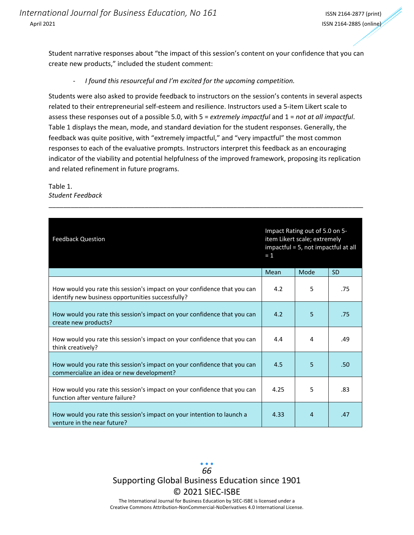Student narrative responses about "the impact of this session's content on your confidence that you can create new products," included the student comment:

#### - *I found this resourceful and I'm excited for the upcoming competition.*

Students were also asked to provide feedback to instructors on the session's contents in several aspects related to their entrepreneurial self-esteem and resilience. Instructors used a 5-item Likert scale to assess these responses out of a possible 5.0, with 5 = *extremely impactful* and 1 = *not at all impactful*. Table 1 displays the mean, mode, and standard deviation for the student responses. Generally, the feedback was quite positive, with "extremely impactful," and "very impactful" the most common responses to each of the evaluative prompts. Instructors interpret this feedback as an encouraging indicator of the viability and potential helpfulness of the improved framework, proposing its replication and related refinement in future programs.

\_\_\_\_\_\_\_\_\_\_\_\_\_\_\_\_\_\_\_\_\_\_\_\_\_\_\_\_\_\_\_\_\_\_\_\_\_\_\_\_\_\_\_\_\_\_\_\_\_\_\_\_\_\_\_\_\_\_\_\_\_\_\_\_\_\_\_\_\_\_\_\_\_\_\_\_\_\_\_\_\_\_\_\_\_

#### Table 1. *Student Feedback*

| <b>Feedback Question</b>                                                                                                      | Impact Rating out of 5.0 on 5-<br>item Likert scale; extremely<br>impactful = 5, not impactful at all<br>$= 1$ |      |           |
|-------------------------------------------------------------------------------------------------------------------------------|----------------------------------------------------------------------------------------------------------------|------|-----------|
|                                                                                                                               | Mean                                                                                                           | Mode | <b>SD</b> |
| How would you rate this session's impact on your confidence that you can<br>identify new business opportunities successfully? | 4.2                                                                                                            | 5    | .75       |
| How would you rate this session's impact on your confidence that you can<br>create new products?                              | 4.2                                                                                                            | 5    | .75       |
| How would you rate this session's impact on your confidence that you can<br>think creatively?                                 | 4.4                                                                                                            | 4    | .49       |
| How would you rate this session's impact on your confidence that you can<br>commercialize an idea or new development?         | 4.5                                                                                                            | 5    | .50       |
| How would you rate this session's impact on your confidence that you can<br>function after venture failure?                   | 4.25                                                                                                           | 5    | .83       |
| How would you rate this session's impact on your intention to launch a<br>venture in the near future?                         | 4.33                                                                                                           | 4    | .47       |

Supporting Global Business Education since 1901 © 2021 SIEC-ISBE *66*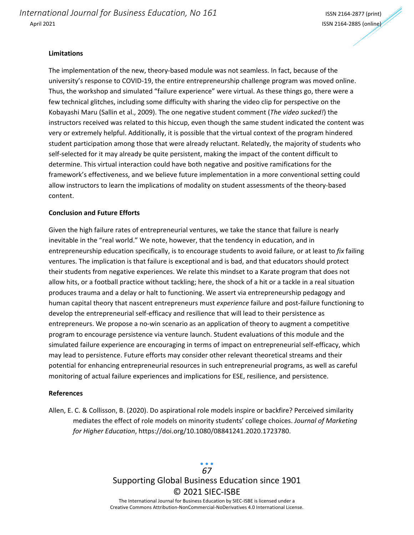#### **Limitations**

The implementation of the new, theory-based module was not seamless. In fact, because of the university's response to COVID-19, the entire entrepreneurship challenge program was moved online. Thus, the workshop and simulated "failure experience" were virtual. As these things go, there were a few technical glitches, including some difficulty with sharing the video clip for perspective on the Kobayashi Maru (Sallin et al., 2009). The one negative student comment (*The video sucked!*) the instructors received was related to this hiccup, even though the same student indicated the content was very or extremely helpful. Additionally, it is possible that the virtual context of the program hindered student participation among those that were already reluctant. Relatedly, the majority of students who self-selected for it may already be quite persistent, making the impact of the content difficult to determine. This virtual interaction could have both negative and positive ramifications for the framework's effectiveness, and we believe future implementation in a more conventional setting could allow instructors to learn the implications of modality on student assessments of the theory-based content.

#### **Conclusion and Future Efforts**

Given the high failure rates of entrepreneurial ventures, we take the stance that failure is nearly inevitable in the "real world." We note, however, that the tendency in education, and in entrepreneurship education specifically, is to encourage students to avoid failure, or at least to *fix* failing ventures. The implication is that failure is exceptional and is bad, and that educators should protect their students from negative experiences. We relate this mindset to a Karate program that does not allow hits, or a football practice without tackling; here, the shock of a hit or a tackle in a real situation produces trauma and a delay or halt to functioning. We assert via entrepreneurship pedagogy and human capital theory that nascent entrepreneurs must *experience* failure and post-failure functioning to develop the entrepreneurial self-efficacy and resilience that will lead to their persistence as entrepreneurs. We propose a no-win scenario as an application of theory to augment a competitive program to encourage persistence via venture launch. Student evaluations of this module and the simulated failure experience are encouraging in terms of impact on entrepreneurial self-efficacy, which may lead to persistence. Future efforts may consider other relevant theoretical streams and their potential for enhancing entrepreneurial resources in such entrepreneurial programs, as well as careful monitoring of actual failure experiences and implications for ESE, resilience, and persistence.

#### **References**

Allen, E. C. & Collisson, B. (2020). Do aspirational role models inspire or backfire? Perceived similarity mediates the effect of role models on minority students' college choices. *Journal of Marketing for Higher Education*, https://doi.org/10.1080/08841241.2020.1723780.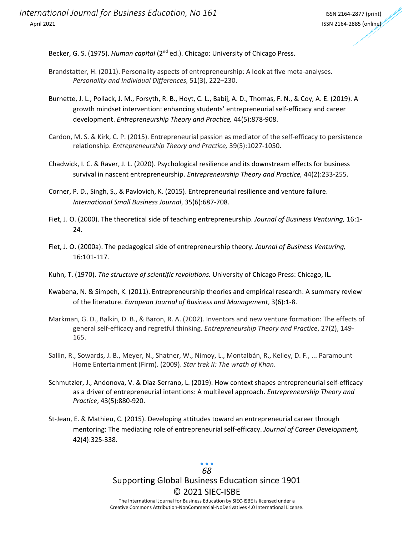Becker, G. S. (1975). *Human capital* (2nd ed.). Chicago: University of Chicago Press.

- Brandstatter, H. (2011). Personality aspects of entrepreneurship: A look at five meta-analyses. *Personality and Individual Differences,* 51(3), 222–230.
- Burnette, J. L., Pollack, J. M., Forsyth, R. B., Hoyt, C. L., Babij, A. D., Thomas, F. N., & Coy, A. E. (2019). A growth mindset intervention: enhancing students' entrepreneurial self-efficacy and career development. *Entrepreneurship Theory and Practice,* 44(5):878-908.
- Cardon, M. S. & Kirk, C. P. (2015). Entrepreneurial passion as mediator of the self-efficacy to persistence relationship. *Entrepreneurship Theory and Practice,* 39(5):1027-1050.
- Chadwick, I. C. & Raver, J. L. (2020). Psychological resilience and its downstream effects for business survival in nascent entrepreneurship. *Entrepreneurship Theory and Practice,* 44(2):233-255.
- Corner, P. D., Singh, S., & Pavlovich, K. (2015). Entrepreneurial resilience and venture failure. *International Small Business Journal*, 35(6):687-708.
- Fiet, J. O. (2000). The theoretical side of teaching entrepreneurship. *Journal of Business Venturing,* 16:1- 24.
- Fiet, J. O. (2000a). The pedagogical side of entrepreneurship theory. *Journal of Business Venturing,* 16:101-117.
- Kuhn, T. (1970). *The structure of scientific revolutions.* University of Chicago Press: Chicago, IL.
- Kwabena, N. & Simpeh, K. (2011). Entrepreneurship theories and empirical research: A summary review of the literature. *European Journal of Business and Management*, 3(6):1-8.
- Markman, G. D., Balkin, D. B., & Baron, R. A. (2002). Inventors and new venture formation: The effects of general self-efficacy and regretful thinking. *Entrepreneurship Theory and Practice*, 27(2), 149- 165.
- Sallin, R., Sowards, J. B., Meyer, N., Shatner, W., Nimoy, L., Montalbán, R., Kelley, D. F., ... Paramount Home Entertainment (Firm). (2009). *Star trek II: The wrath of Khan*.
- Schmutzler, J., Andonova, V. & Diaz-Serrano, L. (2019). How context shapes entrepreneurial self-efficacy as a driver of entrepreneurial intentions: A multilevel approach. *Entrepreneurship Theory and Practice*, 43(5):880-920.
- St-Jean, E. & Mathieu, C. (2015). Developing attitudes toward an entrepreneurial career through mentoring: The mediating role of entrepreneurial self-efficacy. *Journal of Career Development,* 42(4):325-338.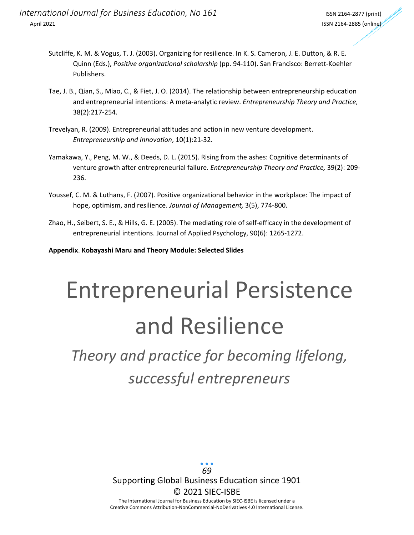- Sutcliffe, K. M. & Vogus, T. J. (2003). Organizing for resilience. In K. S. Cameron, J. E. Dutton, & R. E. Quinn (Eds.), *Positive organizational scholarship* (pp. 94-110). San Francisco: Berrett-Koehler Publishers.
- Tae, J. B., Qian, S., Miao, C., & Fiet, J. O. (2014). The relationship between entrepreneurship education and entrepreneurial intentions: A meta-analytic review. *Entrepreneurship Theory and Practice*, 38(2):217-254.
- Trevelyan, R. (2009). Entrepreneurial attitudes and action in new venture development. *Entrepreneurship and Innovation*, 10(1):21-32.
- Yamakawa, Y., Peng, M. W., & Deeds, D. L. (2015). Rising from the ashes: Cognitive determinants of venture growth after entrepreneurial failure. *Entrepreneurship Theory and Practice,* 39(2): 209- 236.
- Youssef, C. M. & Luthans, F. (2007). Positive organizational behavior in the workplace: The impact of hope, optimism, and resilience. *Journal of Management,* 3(5), 774-800.
- Zhao, H., Seibert, S. E., & Hills, G. E. (2005). The mediating role of self-efficacy in the development of entrepreneurial intentions. Journal of Applied Psychology, 90(6): 1265-1272.

**Appendix**. **Kobayashi Maru and Theory Module: Selected Slides**

# Entrepreneurial Persistence and Resilience

# *Theory and practice for becoming lifelong, successful entrepreneurs*

Supporting Global Business Education since 1901 © 2021 SIEC-ISBE The International Journal for Business Education by SIEC-ISBE is licensed under a *69*

Creative Commons Attribution-NonCommercial-NoDerivatives 4.0 International License.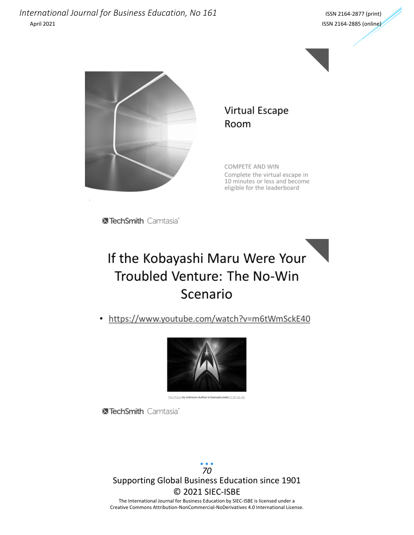



### **Virtual Escape** Room

COMPETE AND WIN Complete the virtual escape in 10 minutes or less and become eligible for the leaderboard

TechSmith Camtasia

# If the Kobayashi Maru Were Your Troubled Venture: The No-Win Scenario

https://www.youtube.com/watch?v=m6tWmSckE40  $\bullet$ 



This Photo by Unknown Author is licensed under CC BY-SA-NO

**X TechSmith Camtasia**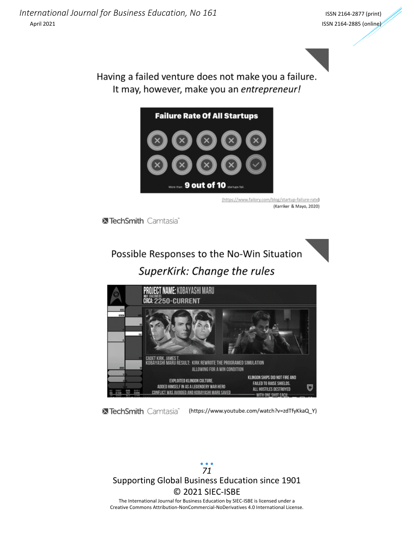



Having a failed venture does not make you a failure. It may, however, make you an entrepreneur!



(https://www.failory.com/blog/startup-failure-rate) (Karriker & Mayo, 2020)

**X TechSmith Camtasia** 

# Possible Responses to the No-Win Situation SuperKirk: Change the rules



**X TechSmith Camtasia** (https://www.youtube.com/watch?v=zdTfyKkaQ\_Y)

Supporting Global Business Education since 1901 © 2021 SIEC-ISBE The International Journal for Business Education by SIEC-ISBE is licensed under a *71*

Creative Commons Attribution-NonCommercial-NoDerivatives 4.0 International License.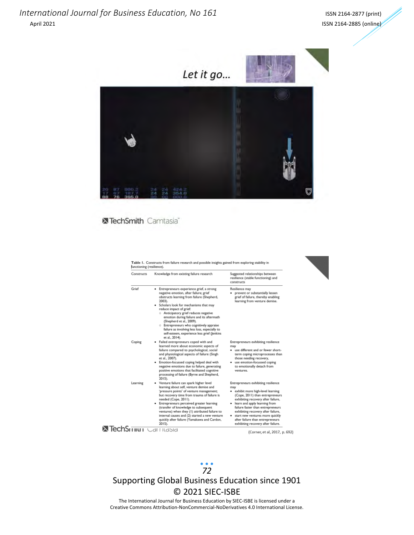

#### TechSmith Camtasia

Table 1. Constructs from failure research and possible insights gained from exploring stability in

| Constructs | Knowledge from existing failure research                                                                                                                                                                                                                                                                                                                                                                                                                                                                      | Suggested relationships between<br>resilience (stable functioning) and<br>constructs                                                                                                                                                                                                                                                                                                   |
|------------|---------------------------------------------------------------------------------------------------------------------------------------------------------------------------------------------------------------------------------------------------------------------------------------------------------------------------------------------------------------------------------------------------------------------------------------------------------------------------------------------------------------|----------------------------------------------------------------------------------------------------------------------------------------------------------------------------------------------------------------------------------------------------------------------------------------------------------------------------------------------------------------------------------------|
| Grief      | Entrepreneurs experience grief, a strong<br>٠<br>negative emotion, after failure; grief<br>obstructs learning from failure (Shepherd,<br>2003).<br>• Scholars look for mechanisms that may<br>reduce impact of grief:<br>Anticipatory grief reduces negative<br>o.<br>emotion during failure and its aftermath<br>(Shepherd et al., 2009).<br><b>Entrepreneurs who cognitively appraise</b><br>failure as involving less loss, especially to<br>self-esteem, experience less grief (Jenkins<br>et al., 2014). | Resilience may<br>prevent or substantially lessen<br>grief of failure, thereby enabling<br>learning from venture demise.                                                                                                                                                                                                                                                               |
| Coping     | · Failed entrepreneurs coped with and<br>learned more about economic aspects of<br>failure compared to psychological, social<br>and physiological aspects of failure (Singh<br>et al., 2007).<br>Emotion-focussed coping helped deal with<br>negative emotions due to failure, generating<br>positive emotions that facilitated cognitive<br>processing of failure (Byrne and Shepherd,<br>$2015$ ).                                                                                                          | Entrepreneurs exhibiting resilience<br>may<br>use different and or fewer short-<br>٠<br>term coping microprocesses than<br>those needing recovery,<br>use emotion-focussed coping<br>to emotionally detach from<br>ventures.                                                                                                                                                           |
| Learning   | • Venture failure can spark higher level<br>learning about self, venture demise and<br>'pressure points' of venture management;<br>but recovery time from trauma of failure is<br>needed (Cope, 2011).<br>· Entrepreneurs perceived greater learning<br>(transfer of knowledge to subsequent<br>ventures) when they (1) attributed failure to<br>internal causes and (2) started a new venture<br>quickly after failure (Yamakawa and Cardon,<br>2015).                                                       | Entrepreneurs exhibiting resilience<br>may<br>· exhibit more high-level learning<br>(Cope, 2011) than entrepreneurs<br>exhibiting recovery after failure,<br>. learn and apply learning from<br>failure faster than entrepreneurs<br>exhibiting recovery after failure,<br>· start new ventures more quickly<br>after failure than entrepreneurs<br>exhibiting recovery after failure. |

**N TechSrimus** Carricasia

(Corner, et al, 2017, p. 692)